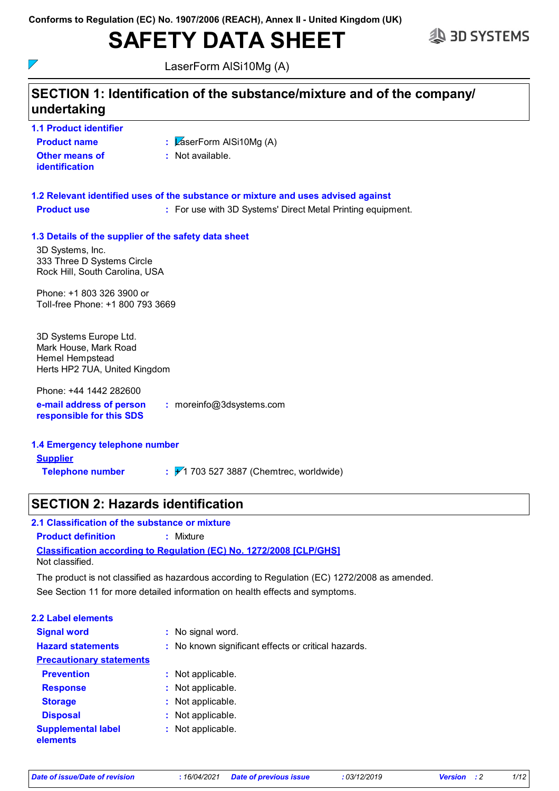# **SAFETY DATA SHEET**



 $\nabla$ 

LaserForm AlSi10Mg (A)

| undertaking                                                                                                                              | SECTION 1: Identification of the substance/mixture and of the company/            |
|------------------------------------------------------------------------------------------------------------------------------------------|-----------------------------------------------------------------------------------|
| <b>1.1 Product identifier</b>                                                                                                            |                                                                                   |
| <b>Product name</b>                                                                                                                      | : $\sqrt{2}$ aserForm AISi10Mg (A)                                                |
| Other means of<br>identification                                                                                                         | : Not available.                                                                  |
|                                                                                                                                          | 1.2 Relevant identified uses of the substance or mixture and uses advised against |
| <b>Product use</b>                                                                                                                       | : For use with 3D Systems' Direct Metal Printing equipment.                       |
| 1.3 Details of the supplier of the safety data sheet<br>3D Systems, Inc.<br>333 Three D Systems Circle<br>Rock Hill, South Carolina, USA |                                                                                   |
| Phone: +1 803 326 3900 or<br>Toll-free Phone: +1 800 793 3669                                                                            |                                                                                   |
| 3D Systems Europe Ltd.<br>Mark House, Mark Road<br><b>Hemel Hempstead</b><br>Herts HP2 7UA, United Kingdom                               |                                                                                   |
| Phone: +44 1442 282600<br>e-mail address of person<br>responsible for this SDS                                                           | : moreinfo@3dsystems.com                                                          |
| 1.4 Emergency telephone number                                                                                                           |                                                                                   |
| <b>Supplier</b>                                                                                                                          |                                                                                   |
| <b>Telephone number</b>                                                                                                                  | $\frac{1}{2}$ / 1 703 527 3887 (Chemtrec, worldwide)                              |

## **SECTION 2: Hazards identification**

### **2.1 Classification of the substance or mixture Product definition :** Mixture

**Classification according to Regulation (EC) No. 1272/2008 [CLP/GHS]** Not classified.

See Section 11 for more detailed information on health effects and symptoms. The product is not classified as hazardous according to Regulation (EC) 1272/2008 as amended.

| 2.2 Label elements                    |                                                     |
|---------------------------------------|-----------------------------------------------------|
| <b>Signal word</b>                    | : No signal word.                                   |
| <b>Hazard statements</b>              | : No known significant effects or critical hazards. |
| <b>Precautionary statements</b>       |                                                     |
| <b>Prevention</b>                     | : Not applicable.                                   |
| <b>Response</b>                       | : Not applicable.                                   |
| <b>Storage</b>                        | : Not applicable.                                   |
| <b>Disposal</b>                       | : Not applicable.                                   |
| <b>Supplemental label</b><br>elements | : Not applicable.                                   |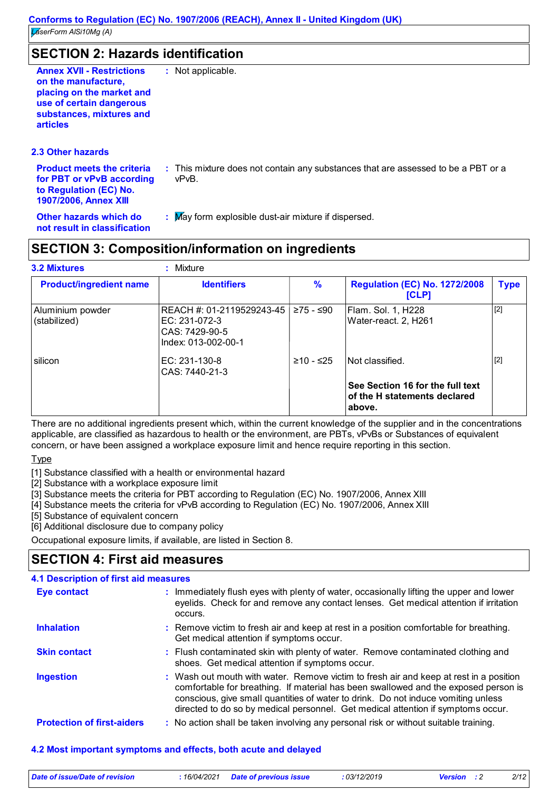## **SECTION 2: Hazards identification**

**2.3 Other hazards**

**for PBT or vPvB according :** This mixture does not contain any substances that are assessed to be a PBT or a vPvB.

**Other hazards which do : not result in classification**

**Product meets the criteria** 

**to Regulation (EC) No. 1907/2006, Annex XIII**

: May form explosible dust-air mixture if dispersed.

## **SECTION 3: Composition/information on ingredients**

| <b>3.2 Mixtures</b>              | Mixture                                                                             |               |                                                                            |             |
|----------------------------------|-------------------------------------------------------------------------------------|---------------|----------------------------------------------------------------------------|-------------|
| <b>Product/ingredient name</b>   | <b>Identifiers</b>                                                                  | $\frac{9}{6}$ | <b>Regulation (EC) No. 1272/2008</b><br>[CLP]                              | <b>Type</b> |
| Aluminium powder<br>(stabilized) | REACH #: 01-2119529243-45<br>EC: 231-072-3<br>CAS: 7429-90-5<br>Index: 013-002-00-1 | ≥75 - ≤90     | Flam. Sol. 1, H228<br>Water-react. 2, H261                                 | $[2]$       |
| silicon                          | EC: 231-130-8<br>CAS: 7440-21-3                                                     | $≥10 - ≤25$   | Not classified.                                                            | $[2]$       |
|                                  |                                                                                     |               | See Section 16 for the full text<br>of the H statements declared<br>above. |             |

There are no additional ingredients present which, within the current knowledge of the supplier and in the concentrations applicable, are classified as hazardous to health or the environment, are PBTs, vPvBs or Substances of equivalent concern, or have been assigned a workplace exposure limit and hence require reporting in this section.

**Type** 

[1] Substance classified with a health or environmental hazard

[2] Substance with a workplace exposure limit

[3] Substance meets the criteria for PBT according to Regulation (EC) No. 1907/2006, Annex XIII

[4] Substance meets the criteria for vPvB according to Regulation (EC) No. 1907/2006, Annex XIII

[5] Substance of equivalent concern

[6] Additional disclosure due to company policy

Occupational exposure limits, if available, are listed in Section 8.

### **SECTION 4: First aid measures**

| <b>4.1 Description of first aid measures</b> |                                                                                                                                                                                                                                                                                                                                                        |
|----------------------------------------------|--------------------------------------------------------------------------------------------------------------------------------------------------------------------------------------------------------------------------------------------------------------------------------------------------------------------------------------------------------|
| <b>Eye contact</b>                           | : Immediately flush eyes with plenty of water, occasionally lifting the upper and lower<br>eyelids. Check for and remove any contact lenses. Get medical attention if irritation<br>occurs.                                                                                                                                                            |
| <b>Inhalation</b>                            | : Remove victim to fresh air and keep at rest in a position comfortable for breathing.<br>Get medical attention if symptoms occur.                                                                                                                                                                                                                     |
| <b>Skin contact</b>                          | : Flush contaminated skin with plenty of water. Remove contaminated clothing and<br>shoes. Get medical attention if symptoms occur.                                                                                                                                                                                                                    |
| <b>Ingestion</b>                             | : Wash out mouth with water. Remove victim to fresh air and keep at rest in a position<br>comfortable for breathing. If material has been swallowed and the exposed person is<br>conscious, give small quantities of water to drink. Do not induce vomiting unless<br>directed to do so by medical personnel. Get medical attention if symptoms occur. |
| <b>Protection of first-aiders</b>            | : No action shall be taken involving any personal risk or without suitable training.                                                                                                                                                                                                                                                                   |

### **4.2 Most important symptoms and effects, both acute and delayed**

| Date of issue/Date of revision | : 16/04/2021 Date of previous issue | 03/12/2019 | <b>Version</b> : 2 | 2/12 |
|--------------------------------|-------------------------------------|------------|--------------------|------|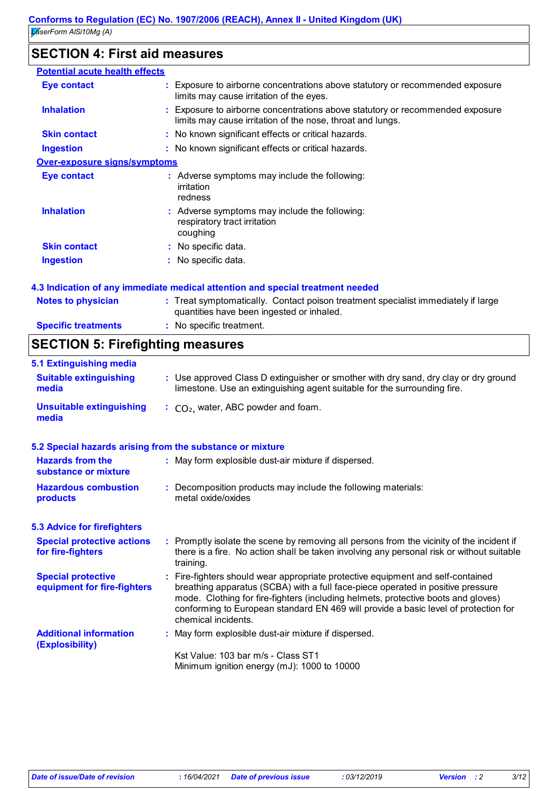## **SECTION 4: First aid measures**

| <b>Potential acute health effects</b> |                                                                                                                                             |
|---------------------------------------|---------------------------------------------------------------------------------------------------------------------------------------------|
| Eye contact                           | : Exposure to airborne concentrations above statutory or recommended exposure<br>limits may cause irritation of the eyes.                   |
| <b>Inhalation</b>                     | : Exposure to airborne concentrations above statutory or recommended exposure<br>limits may cause irritation of the nose, throat and lungs. |
| <b>Skin contact</b>                   | : No known significant effects or critical hazards.                                                                                         |
| <b>Ingestion</b>                      | : No known significant effects or critical hazards.                                                                                         |
| <b>Over-exposure signs/symptoms</b>   |                                                                                                                                             |
| Eye contact                           | : Adverse symptoms may include the following:<br>irritation<br>redness                                                                      |
| <b>Inhalation</b>                     | : Adverse symptoms may include the following:<br>respiratory tract irritation<br>coughing                                                   |
| <b>Skin contact</b>                   | : No specific data.                                                                                                                         |
| <b>Ingestion</b>                      | : No specific data.                                                                                                                         |
|                                       | 4.3 Indication of any immediate medical attention and special treatment needed                                                              |
| <b>Notes to physician</b>             | : Treat symptomatically. Contact poison treatment specialist immediately if large                                                           |

quantities have been ingested or inhaled.

**:** No specific treatment.

## **SECTION 5: Firefighting measures**

**Specific treatments**

| 5.1 Extinguishing media                                   |                                                                                                                                                                                                                                                                                                                                                                     |
|-----------------------------------------------------------|---------------------------------------------------------------------------------------------------------------------------------------------------------------------------------------------------------------------------------------------------------------------------------------------------------------------------------------------------------------------|
| <b>Suitable extinguishing</b><br>media                    | : Use approved Class D extinguisher or smother with dry sand, dry clay or dry ground<br>limestone. Use an extinguishing agent suitable for the surrounding fire.                                                                                                                                                                                                    |
| <b>Unsuitable extinguishing</b><br>media                  | $\therefore$ CO <sub>2</sub> , water, ABC powder and foam.                                                                                                                                                                                                                                                                                                          |
| 5.2 Special hazards arising from the substance or mixture |                                                                                                                                                                                                                                                                                                                                                                     |
| <b>Hazards from the</b><br>substance or mixture           | : May form explosible dust-air mixture if dispersed.                                                                                                                                                                                                                                                                                                                |
| <b>Hazardous combustion</b><br>products                   | : Decomposition products may include the following materials:<br>metal oxide/oxides                                                                                                                                                                                                                                                                                 |
| <b>5.3 Advice for firefighters</b>                        |                                                                                                                                                                                                                                                                                                                                                                     |
| <b>Special protective actions</b><br>for fire-fighters    | : Promptly isolate the scene by removing all persons from the vicinity of the incident if<br>there is a fire. No action shall be taken involving any personal risk or without suitable<br>training.                                                                                                                                                                 |
| <b>Special protective</b><br>equipment for fire-fighters  | Fire-fighters should wear appropriate protective equipment and self-contained<br>breathing apparatus (SCBA) with a full face-piece operated in positive pressure<br>mode. Clothing for fire-fighters (including helmets, protective boots and gloves)<br>conforming to European standard EN 469 will provide a basic level of protection for<br>chemical incidents. |
| <b>Additional information</b><br>(Explosibility)          | : May form explosible dust-air mixture if dispersed.                                                                                                                                                                                                                                                                                                                |
|                                                           | Kst Value: 103 bar m/s - Class ST1                                                                                                                                                                                                                                                                                                                                  |
|                                                           | Minimum ignition energy (mJ): 1000 to 10000                                                                                                                                                                                                                                                                                                                         |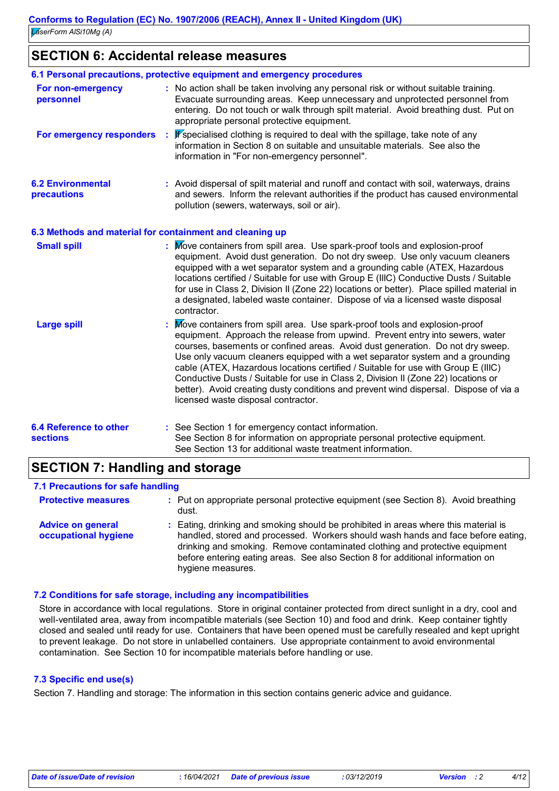## **SECTION 6: Accidental release measures**

|                                                          | 6.1 Personal precautions, protective equipment and emergency procedures                                                                                                                                                                                                                                                                                                                                                                                                                                                                                                                                                                     |
|----------------------------------------------------------|---------------------------------------------------------------------------------------------------------------------------------------------------------------------------------------------------------------------------------------------------------------------------------------------------------------------------------------------------------------------------------------------------------------------------------------------------------------------------------------------------------------------------------------------------------------------------------------------------------------------------------------------|
| For non-emergency<br>personnel                           | : No action shall be taken involving any personal risk or without suitable training.<br>Evacuate surrounding areas. Keep unnecessary and unprotected personnel from<br>entering. Do not touch or walk through spilt material. Avoid breathing dust. Put on<br>appropriate personal protective equipment.                                                                                                                                                                                                                                                                                                                                    |
| For emergency responders                                 | If specialised clothing is required to deal with the spillage, take note of any<br>information in Section 8 on suitable and unsuitable materials. See also the<br>information in "For non-emergency personnel".                                                                                                                                                                                                                                                                                                                                                                                                                             |
| <b>6.2 Environmental</b><br>precautions                  | : Avoid dispersal of spilt material and runoff and contact with soil, waterways, drains<br>and sewers. Inform the relevant authorities if the product has caused environmental<br>pollution (sewers, waterways, soil or air).                                                                                                                                                                                                                                                                                                                                                                                                               |
| 6.3 Methods and material for containment and cleaning up |                                                                                                                                                                                                                                                                                                                                                                                                                                                                                                                                                                                                                                             |
| <b>Small spill</b>                                       | : Move containers from spill area. Use spark-proof tools and explosion-proof<br>equipment. Avoid dust generation. Do not dry sweep. Use only vacuum cleaners<br>equipped with a wet separator system and a grounding cable (ATEX, Hazardous<br>locations certified / Suitable for use with Group E (IIIC) Conductive Dusts / Suitable<br>for use in Class 2, Division II (Zone 22) locations or better). Place spilled material in<br>a designated, labeled waste container. Dispose of via a licensed waste disposal<br>contractor.                                                                                                        |
| <b>Large spill</b>                                       | : Move containers from spill area. Use spark-proof tools and explosion-proof<br>equipment. Approach the release from upwind. Prevent entry into sewers, water<br>courses, basements or confined areas. Avoid dust generation. Do not dry sweep.<br>Use only vacuum cleaners equipped with a wet separator system and a grounding<br>cable (ATEX, Hazardous locations certified / Suitable for use with Group E (IIIC)<br>Conductive Dusts / Suitable for use in Class 2, Division II (Zone 22) locations or<br>better). Avoid creating dusty conditions and prevent wind dispersal. Dispose of via a<br>licensed waste disposal contractor. |
| <b>6.4 Reference to other</b><br><b>sections</b>         | : See Section 1 for emergency contact information.<br>See Section 8 for information on appropriate personal protective equipment.<br>See Section 13 for additional waste treatment information.                                                                                                                                                                                                                                                                                                                                                                                                                                             |

## **SECTION 7: Handling and storage**

### **7.1 Precautions for safe handling**

| <b>Protective measures</b>                       | : Put on appropriate personal protective equipment (see Section 8). Avoid breathing<br>dust.                                                                                                                                                                                                                                                                  |
|--------------------------------------------------|---------------------------------------------------------------------------------------------------------------------------------------------------------------------------------------------------------------------------------------------------------------------------------------------------------------------------------------------------------------|
| <b>Advice on general</b><br>occupational hygiene | : Eating, drinking and smoking should be prohibited in areas where this material is<br>handled, stored and processed. Workers should wash hands and face before eating,<br>drinking and smoking. Remove contaminated clothing and protective equipment<br>before entering eating areas. See also Section 8 for additional information on<br>hygiene measures. |

### **7.2 Conditions for safe storage, including any incompatibilities**

Store in accordance with local regulations. Store in original container protected from direct sunlight in a dry, cool and well-ventilated area, away from incompatible materials (see Section 10) and food and drink. Keep container tightly closed and sealed until ready for use. Containers that have been opened must be carefully resealed and kept upright to prevent leakage. Do not store in unlabelled containers. Use appropriate containment to avoid environmental contamination. See Section 10 for incompatible materials before handling or use.

### **7.3 Specific end use(s)**

Section 7. Handling and storage: The information in this section contains generic advice and guidance.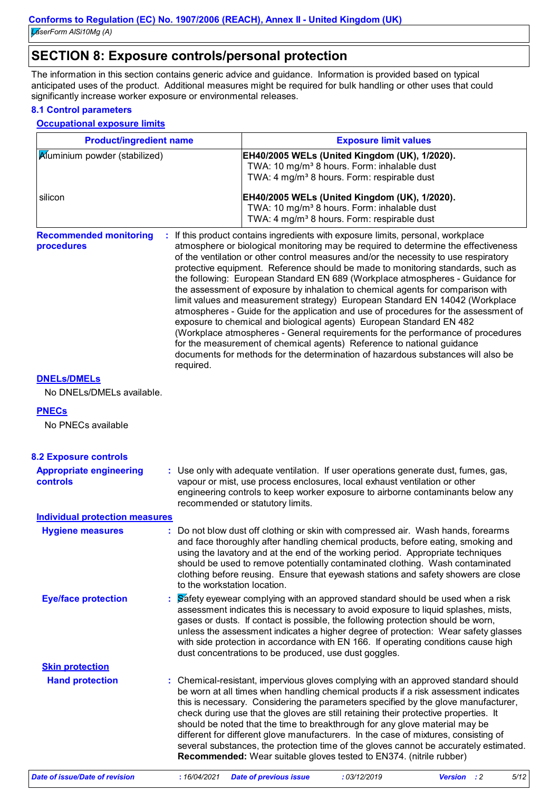*LaserForm AlSi10Mg (A)*

## **SECTION 8: Exposure controls/personal protection**

The information in this section contains generic advice and guidance. Information is provided based on typical anticipated uses of the product. Additional measures might be required for bulk handling or other uses that could significantly increase worker exposure or environmental releases.

### **8.1 Control parameters**

### **Occupational exposure limits**

| <b>Product/ingredient name</b>                           |                              | <b>Exposure limit values</b>                                                                                                                                        |                                                                                                                                                                                                                                    |                                                                                                                                                                                                                                                                                                                                                                                                                                                                                                                                                                                                                                                                                                                                                                                 |      |  |
|----------------------------------------------------------|------------------------------|---------------------------------------------------------------------------------------------------------------------------------------------------------------------|------------------------------------------------------------------------------------------------------------------------------------------------------------------------------------------------------------------------------------|---------------------------------------------------------------------------------------------------------------------------------------------------------------------------------------------------------------------------------------------------------------------------------------------------------------------------------------------------------------------------------------------------------------------------------------------------------------------------------------------------------------------------------------------------------------------------------------------------------------------------------------------------------------------------------------------------------------------------------------------------------------------------------|------|--|
| Aluminium powder (stabilized)                            |                              | EH40/2005 WELs (United Kingdom (UK), 1/2020).<br>TWA: 10 mg/m <sup>3</sup> 8 hours. Form: inhalable dust<br>TWA: 4 mg/m <sup>3</sup> 8 hours. Form: respirable dust |                                                                                                                                                                                                                                    |                                                                                                                                                                                                                                                                                                                                                                                                                                                                                                                                                                                                                                                                                                                                                                                 |      |  |
| silicon                                                  |                              |                                                                                                                                                                     | EH40/2005 WELs (United Kingdom (UK), 1/2020).<br>TWA: 10 mg/m <sup>3</sup> 8 hours. Form: inhalable dust<br>TWA: 4 mg/m <sup>3</sup> 8 hours. Form: respirable dust                                                                |                                                                                                                                                                                                                                                                                                                                                                                                                                                                                                                                                                                                                                                                                                                                                                                 |      |  |
| <b>Recommended monitoring</b><br>procedures<br>required. |                              |                                                                                                                                                                     | : If this product contains ingredients with exposure limits, personal, workplace<br>exposure to chemical and biological agents) European Standard EN 482<br>for the measurement of chemical agents) Reference to national guidance | atmosphere or biological monitoring may be required to determine the effectiveness<br>of the ventilation or other control measures and/or the necessity to use respiratory<br>protective equipment. Reference should be made to monitoring standards, such as<br>the following: European Standard EN 689 (Workplace atmospheres - Guidance for<br>the assessment of exposure by inhalation to chemical agents for comparison with<br>limit values and measurement strategy) European Standard EN 14042 (Workplace<br>atmospheres - Guide for the application and use of procedures for the assessment of<br>(Workplace atmospheres - General requirements for the performance of procedures<br>documents for methods for the determination of hazardous substances will also be |      |  |
| <b>DNELS/DMELS</b>                                       |                              |                                                                                                                                                                     |                                                                                                                                                                                                                                    |                                                                                                                                                                                                                                                                                                                                                                                                                                                                                                                                                                                                                                                                                                                                                                                 |      |  |
| No DNELs/DMELs available.                                |                              |                                                                                                                                                                     |                                                                                                                                                                                                                                    |                                                                                                                                                                                                                                                                                                                                                                                                                                                                                                                                                                                                                                                                                                                                                                                 |      |  |
| <b>PNECs</b>                                             |                              |                                                                                                                                                                     |                                                                                                                                                                                                                                    |                                                                                                                                                                                                                                                                                                                                                                                                                                                                                                                                                                                                                                                                                                                                                                                 |      |  |
| No PNECs available                                       |                              |                                                                                                                                                                     |                                                                                                                                                                                                                                    |                                                                                                                                                                                                                                                                                                                                                                                                                                                                                                                                                                                                                                                                                                                                                                                 |      |  |
| <b>8.2 Exposure controls</b>                             |                              |                                                                                                                                                                     |                                                                                                                                                                                                                                    |                                                                                                                                                                                                                                                                                                                                                                                                                                                                                                                                                                                                                                                                                                                                                                                 |      |  |
| <b>Appropriate engineering</b><br>controls               |                              | recommended or statutory limits.                                                                                                                                    | vapour or mist, use process enclosures, local exhaust ventilation or other                                                                                                                                                         | : Use only with adequate ventilation. If user operations generate dust, fumes, gas,<br>engineering controls to keep worker exposure to airborne contaminants below any                                                                                                                                                                                                                                                                                                                                                                                                                                                                                                                                                                                                          |      |  |
| <b>Individual protection measures</b>                    |                              |                                                                                                                                                                     |                                                                                                                                                                                                                                    |                                                                                                                                                                                                                                                                                                                                                                                                                                                                                                                                                                                                                                                                                                                                                                                 |      |  |
| <b>Hygiene measures</b>                                  | to the workstation location. |                                                                                                                                                                     |                                                                                                                                                                                                                                    | Do not blow dust off clothing or skin with compressed air. Wash hands, forearms<br>and face thoroughly after handling chemical products, before eating, smoking and<br>using the lavatory and at the end of the working period. Appropriate techniques<br>should be used to remove potentially contaminated clothing. Wash contaminated<br>clothing before reusing. Ensure that eyewash stations and safety showers are close                                                                                                                                                                                                                                                                                                                                                   |      |  |
| <b>Eye/face protection</b>                               |                              | dust concentrations to be produced, use dust goggles.                                                                                                               |                                                                                                                                                                                                                                    | Safety eyewear complying with an approved standard should be used when a risk<br>assessment indicates this is necessary to avoid exposure to liquid splashes, mists,<br>gases or dusts. If contact is possible, the following protection should be worn,<br>unless the assessment indicates a higher degree of protection: Wear safety glasses<br>with side protection in accordance with EN 166. If operating conditions cause high                                                                                                                                                                                                                                                                                                                                            |      |  |
| <b>Skin protection</b>                                   |                              |                                                                                                                                                                     |                                                                                                                                                                                                                                    |                                                                                                                                                                                                                                                                                                                                                                                                                                                                                                                                                                                                                                                                                                                                                                                 |      |  |
| <b>Hand protection</b>                                   |                              |                                                                                                                                                                     | should be noted that the time to breakthrough for any glove material may be<br>Recommended: Wear suitable gloves tested to EN374. (nitrile rubber)                                                                                 | Chemical-resistant, impervious gloves complying with an approved standard should<br>be worn at all times when handling chemical products if a risk assessment indicates<br>this is necessary. Considering the parameters specified by the glove manufacturer,<br>check during use that the gloves are still retaining their protective properties. It<br>different for different glove manufacturers. In the case of mixtures, consisting of<br>several substances, the protection time of the gloves cannot be accurately estimated.                                                                                                                                                                                                                                           |      |  |
| <b>Date of issue/Date of revision</b>                    | : 16/04/2021                 | <b>Date of previous issue</b>                                                                                                                                       | : 03/12/2019                                                                                                                                                                                                                       | Version : 2                                                                                                                                                                                                                                                                                                                                                                                                                                                                                                                                                                                                                                                                                                                                                                     | 5/12 |  |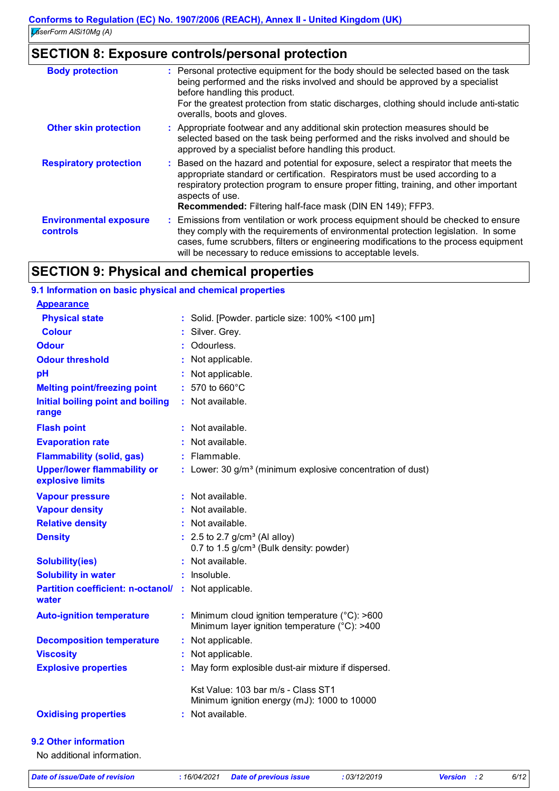|                                           | <b>SECTION 8: Exposure controls/personal protection</b>                                                                                                                                                                                                                                                                                          |
|-------------------------------------------|--------------------------------------------------------------------------------------------------------------------------------------------------------------------------------------------------------------------------------------------------------------------------------------------------------------------------------------------------|
| <b>Body protection</b>                    | : Personal protective equipment for the body should be selected based on the task<br>being performed and the risks involved and should be approved by a specialist<br>before handling this product.<br>For the greatest protection from static discharges, clothing should include anti-static<br>overalls, boots and gloves.                    |
| <b>Other skin protection</b>              | : Appropriate footwear and any additional skin protection measures should be<br>selected based on the task being performed and the risks involved and should be<br>approved by a specialist before handling this product.                                                                                                                        |
| <b>Respiratory protection</b>             | : Based on the hazard and potential for exposure, select a respirator that meets the<br>appropriate standard or certification. Respirators must be used according to a<br>respiratory protection program to ensure proper fitting, training, and other important<br>aspects of use.<br>Recommended: Filtering half-face mask (DIN EN 149); FFP3. |
| <b>Environmental exposure</b><br>controls | Emissions from ventilation or work process equipment should be checked to ensure<br>÷.<br>they comply with the requirements of environmental protection legislation. In some<br>cases, fume scrubbers, filters or engineering modifications to the process equipment<br>will be necessary to reduce emissions to acceptable levels.              |

## **SECTION 9: Physical and chemical properties**

| 9.1 Information on basic physical and chemical properties    |   |                                                                                                            |
|--------------------------------------------------------------|---|------------------------------------------------------------------------------------------------------------|
| <b>Appearance</b>                                            |   |                                                                                                            |
| <b>Physical state</b>                                        |   | : Solid. [Powder. particle size: 100% <100 µm]                                                             |
| <b>Colour</b>                                                |   | Silver. Grey.                                                                                              |
| <b>Odour</b>                                                 | ÷ | Odourless.                                                                                                 |
| <b>Odour threshold</b>                                       |   | : Not applicable.                                                                                          |
| pH                                                           |   | Not applicable.                                                                                            |
| <b>Melting point/freezing point</b>                          |   | 570 to 660°C                                                                                               |
| Initial boiling point and boiling<br>range                   |   | : Not available.                                                                                           |
| <b>Flash point</b>                                           | ÷ | Not available.                                                                                             |
| <b>Evaporation rate</b>                                      |   | : Not available.                                                                                           |
| <b>Flammability (solid, gas)</b>                             |   | $:$ Flammable.                                                                                             |
| <b>Upper/lower flammability or</b><br>explosive limits       |   | : Lower: 30 $g/m3$ (minimum explosive concentration of dust)                                               |
| <b>Vapour pressure</b>                                       |   | Not available.                                                                                             |
| <b>Vapour density</b>                                        |   | Not available.                                                                                             |
| <b>Relative density</b>                                      |   | : Not available.                                                                                           |
| <b>Density</b>                                               |   | $: 2.5$ to 2.7 g/cm <sup>3</sup> (Al alloy)<br>0.7 to 1.5 g/cm <sup>3</sup> (Bulk density: powder)         |
| <b>Solubility(ies)</b>                                       |   | : Not available.                                                                                           |
| <b>Solubility in water</b>                                   |   | : Insoluble.                                                                                               |
| Partition coefficient: n-octanol/ : Not applicable.<br>water |   |                                                                                                            |
| <b>Auto-ignition temperature</b>                             |   | : Minimum cloud ignition temperature $(^{\circ}C)$ : >600<br>Minimum layer ignition temperature (°C): >400 |
| <b>Decomposition temperature</b>                             |   | : Not applicable.                                                                                          |
| <b>Viscosity</b>                                             |   | : Not applicable.                                                                                          |
| <b>Explosive properties</b>                                  |   | May form explosible dust-air mixture if dispersed.                                                         |
|                                                              |   | Kst Value: 103 bar m/s - Class ST1<br>Minimum ignition energy (mJ): 1000 to 10000                          |
| <b>Oxidising properties</b>                                  |   | : Not available.                                                                                           |
| 9.2 Other information                                        |   |                                                                                                            |
| No additional information.                                   |   |                                                                                                            |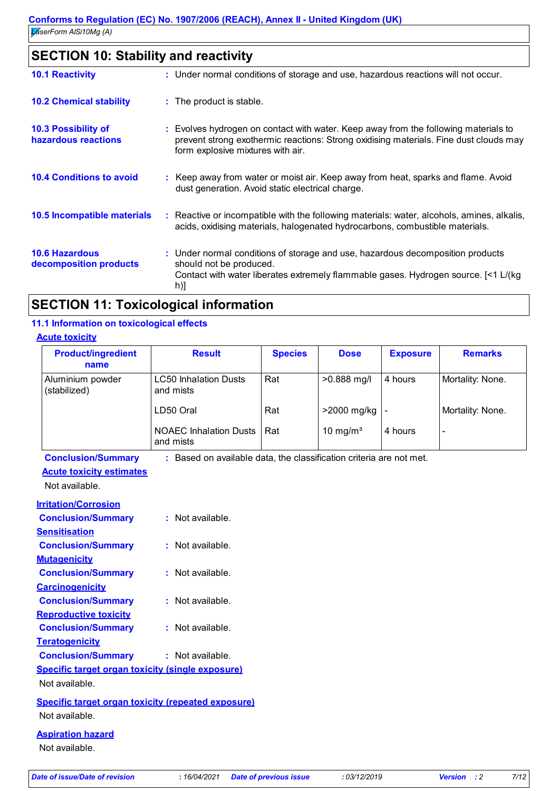| <b>SECTION 10: Stability and reactivity</b>       |                                                                                                                                                                                                                   |  |
|---------------------------------------------------|-------------------------------------------------------------------------------------------------------------------------------------------------------------------------------------------------------------------|--|
| <b>10.1 Reactivity</b>                            | : Under normal conditions of storage and use, hazardous reactions will not occur.                                                                                                                                 |  |
| <b>10.2 Chemical stability</b>                    | : The product is stable.                                                                                                                                                                                          |  |
| <b>10.3 Possibility of</b><br>hazardous reactions | : Evolves hydrogen on contact with water. Keep away from the following materials to<br>prevent strong exothermic reactions: Strong oxidising materials. Fine dust clouds may<br>form explosive mixtures with air. |  |
| <b>10.4 Conditions to avoid</b>                   | : Keep away from water or moist air. Keep away from heat, sparks and flame. Avoid<br>dust generation. Avoid static electrical charge.                                                                             |  |
| 10.5 Incompatible materials                       | : Reactive or incompatible with the following materials: water, alcohols, amines, alkalis,<br>acids, oxidising materials, halogenated hydrocarbons, combustible materials.                                        |  |
| <b>10.6 Hazardous</b><br>decomposition products   | : Under normal conditions of storage and use, hazardous decomposition products<br>should not be produced.<br>Contact with water liberates extremely flammable gases. Hydrogen source. [<1 L/(kg<br>h)]            |  |
|                                                   | والمستحمد والمتساوي والمستحدث                                                                                                                                                                                     |  |

## **SECTION 11: Toxicological information**

### **11.1 Information on toxicological effects**

### **Acute toxicity**

| <b>Product/ingredient</b><br>name | <b>Result</b>                              | <b>Species</b> | <b>Dose</b>          | <b>Exposure</b> | <b>Remarks</b>   |
|-----------------------------------|--------------------------------------------|----------------|----------------------|-----------------|------------------|
| Aluminium powder<br>(stabilized)  | <b>LC50 Inhalation Dusts</b><br>and mists  | Rat            | >0.888 mg/l          | 4 hours         | Mortality: None. |
|                                   | LD50 Oral                                  | Rat            | >2000 mg/kg          |                 | Mortality: None. |
|                                   | <b>NOAEC Inhalation Dusts</b><br>and mists | Rat            | 10 mg/m <sup>3</sup> | 4 hours         | ٠                |

**Conclusion/Summary :** Based on available data, the classification criteria are not met.

## **Acute toxicity estimates**

Not available.

| <b>Irritation/Corrosion</b>                             |                                                           |
|---------------------------------------------------------|-----------------------------------------------------------|
| <b>Conclusion/Summary</b>                               | $:$ Not available.                                        |
| <b>Sensitisation</b>                                    |                                                           |
| <b>Conclusion/Summary</b>                               | : Not available.                                          |
| <b>Mutagenicity</b>                                     |                                                           |
| <b>Conclusion/Summary</b>                               | : Not available.                                          |
| <b>Carcinogenicity</b>                                  |                                                           |
| <b>Conclusion/Summary</b>                               | $:$ Not available.                                        |
| <b>Reproductive toxicity</b>                            |                                                           |
| <b>Conclusion/Summary</b>                               | : Not available.                                          |
| <b>Teratogenicity</b>                                   |                                                           |
| <b>Conclusion/Summary</b>                               | $:$ Not available.                                        |
| <b>Specific target organ toxicity (single exposure)</b> |                                                           |
| Not available.                                          |                                                           |
|                                                         | <b>Specific target organ toxicity (repeated exposure)</b> |
| Not available.                                          |                                                           |
| .                                                       |                                                           |

### **Aspiration hazard**

Not available.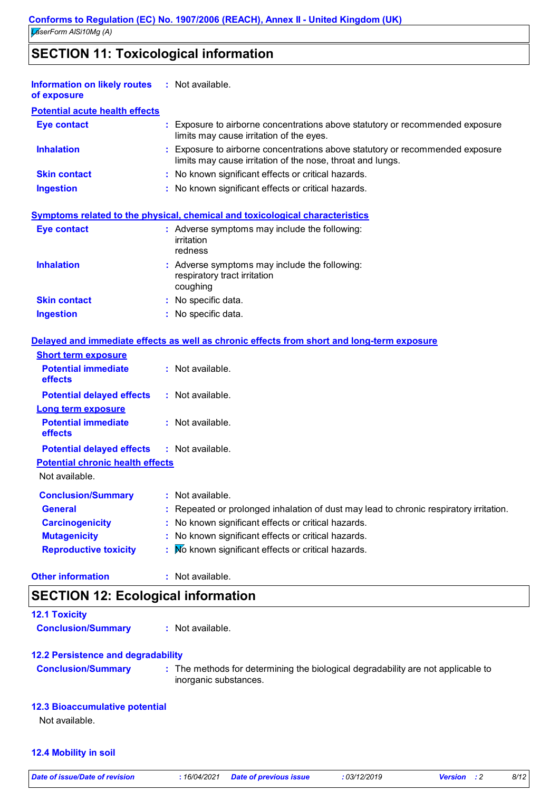## **SECTION 11: Toxicological information**

| <b>Information on likely routes : Not available.</b><br>of exposure |                                                                                                                                             |
|---------------------------------------------------------------------|---------------------------------------------------------------------------------------------------------------------------------------------|
| <b>Potential acute health effects</b>                               |                                                                                                                                             |
| <b>Eye contact</b>                                                  | : Exposure to airborne concentrations above statutory or recommended exposure<br>limits may cause irritation of the eyes.                   |
| <b>Inhalation</b>                                                   | : Exposure to airborne concentrations above statutory or recommended exposure<br>limits may cause irritation of the nose, throat and lungs. |
| <b>Skin contact</b>                                                 | : No known significant effects or critical hazards.                                                                                         |
| <b>Ingestion</b>                                                    | : No known significant effects or critical hazards.                                                                                         |
|                                                                     | <b>Symptoms related to the physical, chemical and toxicological characteristics</b>                                                         |
| <b>Eye contact</b>                                                  | : Adverse symptoms may include the following:<br><i>irritation</i><br>redness                                                               |
| <b>Inhalation</b>                                                   | : Adverse symptoms may include the following:<br>respiratory tract irritation<br>coughing                                                   |
| <b>Skin contact</b>                                                 | : No specific data.                                                                                                                         |
| <b>Ingestion</b>                                                    | : No specific data.                                                                                                                         |
|                                                                     | Delayed and immediate effects as well as chronic effects from short and long-term exposure                                                  |
| <b>Short term exposure</b>                                          |                                                                                                                                             |
| <b>Potential immediate</b><br>effects                               | : Not available.                                                                                                                            |
| <b>Potential delayed effects</b>                                    | : Not available.                                                                                                                            |
| <b>Long term exposure</b>                                           |                                                                                                                                             |
| <b>Potential immediate</b><br>effects                               | : Not available.                                                                                                                            |
| <b>Potential delayed effects</b>                                    | : Not available.                                                                                                                            |
| <b>Potential chronic health effects</b>                             |                                                                                                                                             |
| Not available.                                                      |                                                                                                                                             |
| <b>Conclusion/Summary</b>                                           | : Not available.                                                                                                                            |
| <b>General</b>                                                      | : Repeated or prolonged inhalation of dust may lead to chronic respiratory irritation.                                                      |
| <b>Carcinogenicity</b>                                              | : No known significant effects or critical hazards.                                                                                         |
| <b>Mutagenicity</b>                                                 | : No known significant effects or critical hazards.                                                                                         |
| <b>Reproductive toxicity</b>                                        | : No known significant effects or critical hazards.                                                                                         |
| <b>Other information</b>                                            | : Not available.                                                                                                                            |

## **SECTION 12: Ecological information**

| <b>12.1 Toxicity</b>      |                  |  |
|---------------------------|------------------|--|
| <b>Conclusion/Summary</b> | : Not available. |  |
|                           |                  |  |

### **12.2 Persistence and degradability**

**Conclusion/Summary :** The methods for determining the biological degradability are not applicable to inorganic substances.

### **12.3 Bioaccumulative potential**

Not available.

### **12.4 Mobility in soil**

|  | Date of issue/Date of revision |
|--|--------------------------------|
|  |                                |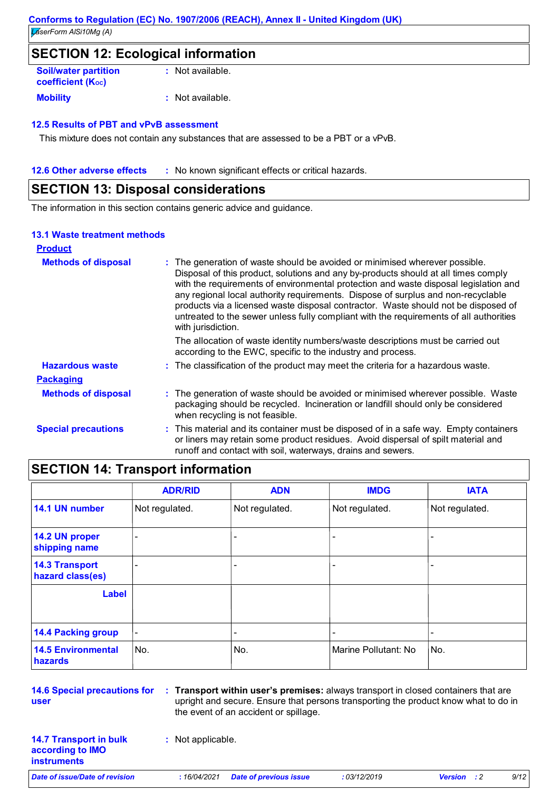## **SECTION 12: Ecological information**

| <b>Soil/water partition</b><br>coefficient $(K_{oc})$ | $:$ Not available. |
|-------------------------------------------------------|--------------------|
| <b>Mobility</b>                                       | $:$ Not available. |

### **12.5 Results of PBT and vPvB assessment**

This mixture does not contain any substances that are assessed to be a PBT or a vPvB.

**12.6 Other adverse effects** : No known significant effects or critical hazards.

## **SECTION 13: Disposal considerations**

The information in this section contains generic advice and guidance.

### **13.1 Waste treatment methods**

| <b>Product</b>             |                                                                                                                                                                                                                                                                                                                                                                                                                                                                                                                                                     |
|----------------------------|-----------------------------------------------------------------------------------------------------------------------------------------------------------------------------------------------------------------------------------------------------------------------------------------------------------------------------------------------------------------------------------------------------------------------------------------------------------------------------------------------------------------------------------------------------|
| <b>Methods of disposal</b> | : The generation of waste should be avoided or minimised wherever possible.<br>Disposal of this product, solutions and any by-products should at all times comply<br>with the requirements of environmental protection and waste disposal legislation and<br>any regional local authority requirements. Dispose of surplus and non-recyclable<br>products via a licensed waste disposal contractor. Waste should not be disposed of<br>untreated to the sewer unless fully compliant with the requirements of all authorities<br>with jurisdiction. |
|                            | The allocation of waste identity numbers/waste descriptions must be carried out<br>according to the EWC, specific to the industry and process.                                                                                                                                                                                                                                                                                                                                                                                                      |
| <b>Hazardous waste</b>     | : The classification of the product may meet the criteria for a hazardous waste.                                                                                                                                                                                                                                                                                                                                                                                                                                                                    |
| <b>Packaging</b>           |                                                                                                                                                                                                                                                                                                                                                                                                                                                                                                                                                     |
| <b>Methods of disposal</b> | : The generation of waste should be avoided or minimised wherever possible. Waste<br>packaging should be recycled. Incineration or landfill should only be considered<br>when recycling is not feasible.                                                                                                                                                                                                                                                                                                                                            |
| <b>Special precautions</b> | : This material and its container must be disposed of in a safe way. Empty containers<br>or liners may retain some product residues. Avoid dispersal of spilt material and<br>runoff and contact with soil, waterways, drains and sewers.                                                                                                                                                                                                                                                                                                           |

## **SECTION 14: Transport information**

|                                           | <b>ADR/RID</b> | <b>ADN</b>     | <b>IMDG</b>          | <b>IATA</b>    |
|-------------------------------------------|----------------|----------------|----------------------|----------------|
| 14.1 UN number                            | Not regulated. | Not regulated. | Not regulated.       | Not regulated. |
| 14.2 UN proper<br>shipping name           | ۰              |                | ٠                    |                |
| <b>14.3 Transport</b><br>hazard class(es) | ۰              |                |                      |                |
| <b>Label</b>                              |                |                |                      |                |
| <b>14.4 Packing group</b>                 | ۰              |                |                      | ۰              |
| <b>14.5 Environmental</b><br>hazards      | No.            | No.            | Marine Pollutant: No | No.            |

**14.6 Special precautions for user**

**Transport within user's premises:** always transport in closed containers that are **:** upright and secure. Ensure that persons transporting the product know what to do in the event of an accident or spillage.

**14.7 Transport in bulk according to IMO instruments**

**:** Not applicable.

*Date of issue/Date of revision* **:** *16/04/2021 Date of previous issue : 03/12/2019 Version : 2 9/12*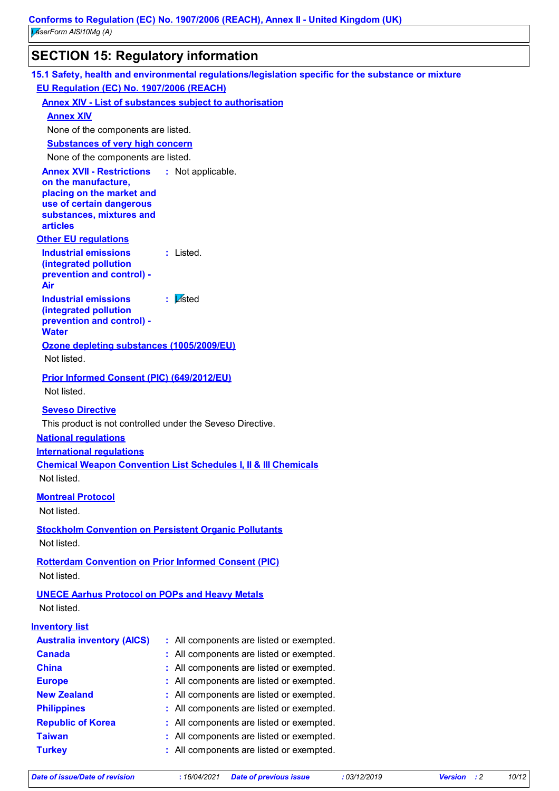## **SECTION 15: Regulatory information**

|                                                                           | 15.1 Safety, health and environmental regulations/legislation specific for the substance or mixture |
|---------------------------------------------------------------------------|-----------------------------------------------------------------------------------------------------|
| EU Regulation (EC) No. 1907/2006 (REACH)                                  |                                                                                                     |
|                                                                           | <b>Annex XIV - List of substances subject to authorisation</b>                                      |
| <b>Annex XIV</b>                                                          |                                                                                                     |
| None of the components are listed.                                        |                                                                                                     |
| <b>Substances of very high concern</b>                                    |                                                                                                     |
| None of the components are listed.                                        |                                                                                                     |
| <b>Annex XVII - Restrictions : Not applicable.</b><br>on the manufacture, |                                                                                                     |
| placing on the market and                                                 |                                                                                                     |
| use of certain dangerous                                                  |                                                                                                     |
| substances, mixtures and<br><b>articles</b>                               |                                                                                                     |
| <b>Other EU regulations</b>                                               |                                                                                                     |
| <b>Industrial emissions</b>                                               | : Listed.                                                                                           |
| (integrated pollution                                                     |                                                                                                     |
| prevention and control) -                                                 |                                                                                                     |
| Air                                                                       | : Listed                                                                                            |
| <b>Industrial emissions</b><br>(integrated pollution                      |                                                                                                     |
| prevention and control) -                                                 |                                                                                                     |
| <b>Water</b>                                                              |                                                                                                     |
| Ozone depleting substances (1005/2009/EU)                                 |                                                                                                     |
| Not listed.                                                               |                                                                                                     |
| <b>Prior Informed Consent (PIC) (649/2012/EU)</b>                         |                                                                                                     |
| Not listed.                                                               |                                                                                                     |
| <b>Seveso Directive</b>                                                   |                                                                                                     |
| This product is not controlled under the Seveso Directive.                |                                                                                                     |
| <b>National regulations</b>                                               |                                                                                                     |
| <b>International requlations</b>                                          |                                                                                                     |
|                                                                           | <b>Chemical Weapon Convention List Schedules I, II &amp; III Chemicals</b>                          |
| Not listed.                                                               |                                                                                                     |
| <b>Montreal Protocol</b>                                                  |                                                                                                     |
| Not listed.                                                               |                                                                                                     |
| <b>Stockholm Convention on Persistent Organic Pollutants</b>              |                                                                                                     |
| Not listed.                                                               |                                                                                                     |
| <b>Rotterdam Convention on Prior Informed Consent (PIC)</b>               |                                                                                                     |
| Not listed.                                                               |                                                                                                     |
| <b>UNECE Aarhus Protocol on POPs and Heavy Metals</b>                     |                                                                                                     |
| Not listed.                                                               |                                                                                                     |
|                                                                           |                                                                                                     |
| <b>Inventory list</b>                                                     |                                                                                                     |
| <b>Australia inventory (AICS)</b>                                         | : All components are listed or exempted.                                                            |
| <b>Canada</b><br><b>China</b>                                             | All components are listed or exempted.                                                              |
| <b>Europe</b>                                                             | All components are listed or exempted.<br>All components are listed or exempted.                    |
| <b>New Zealand</b>                                                        | All components are listed or exempted.                                                              |
| <b>Philippines</b>                                                        | All components are listed or exempted.                                                              |
| <b>Republic of Korea</b>                                                  | All components are listed or exempted.                                                              |
| <b>Taiwan</b>                                                             | All components are listed or exempted.                                                              |
| <b>Turkey</b>                                                             | : All components are listed or exempted.                                                            |
|                                                                           |                                                                                                     |

*Date of issue/Date of revision* **:** *16/04/2021 Date of previous issue : 03/12/2019 Version : 2 10/12*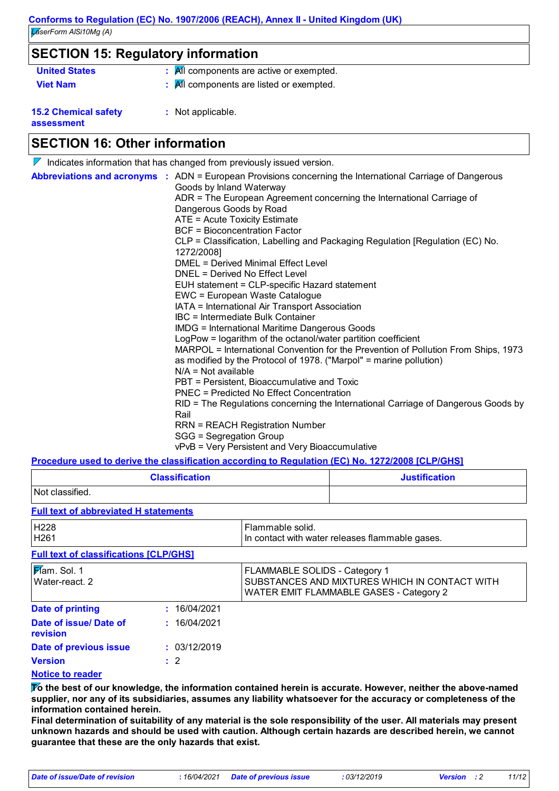| <b>SECTION 15: Regulatory information</b> |                                                                |  |
|-------------------------------------------|----------------------------------------------------------------|--|
| <b>United States</b>                      | $\mathbf{R}$ All components are active or exempted.            |  |
| <b>Viet Nam</b>                           | $\frac{1}{2}$ $\frac{1}{2}$ Components are listed or exempted. |  |
| <b>15.2 Chemical safety</b><br>assessment | : Not applicable.                                              |  |

## **SECTION 16: Other information**

| $\nabla$ Indicates information that has changed from previously issued version.                                                                                                                                                                                                                                                                                                                                                                                                                                                                                                                                                                                                                                                                                                                                                                                                                                                                                                                                                                                                                                                                                                                                                                        |
|--------------------------------------------------------------------------------------------------------------------------------------------------------------------------------------------------------------------------------------------------------------------------------------------------------------------------------------------------------------------------------------------------------------------------------------------------------------------------------------------------------------------------------------------------------------------------------------------------------------------------------------------------------------------------------------------------------------------------------------------------------------------------------------------------------------------------------------------------------------------------------------------------------------------------------------------------------------------------------------------------------------------------------------------------------------------------------------------------------------------------------------------------------------------------------------------------------------------------------------------------------|
| Abbreviations and acronyms : ADN = European Provisions concerning the International Carriage of Dangerous<br>Goods by Inland Waterway<br>ADR = The European Agreement concerning the International Carriage of<br>Dangerous Goods by Road<br>ATE = Acute Toxicity Estimate<br><b>BCF</b> = Bioconcentration Factor<br>CLP = Classification, Labelling and Packaging Regulation [Regulation (EC) No.<br>1272/2008]<br>DMEL = Derived Minimal Effect Level<br>DNEL = Derived No Effect Level<br>EUH statement = CLP-specific Hazard statement<br>EWC = European Waste Catalogue<br>IATA = International Air Transport Association<br>IBC = Intermediate Bulk Container<br><b>IMDG</b> = International Maritime Dangerous Goods<br>LogPow = logarithm of the octanol/water partition coefficient<br>MARPOL = International Convention for the Prevention of Pollution From Ships, 1973<br>as modified by the Protocol of 1978. ("Marpol" = marine pollution)<br>$N/A = Not available$<br>PBT = Persistent, Bioaccumulative and Toxic<br><b>PNEC = Predicted No Effect Concentration</b><br>RID = The Regulations concerning the International Carriage of Dangerous Goods by<br>Rail<br><b>RRN = REACH Registration Number</b><br>SGG = Segregation Group |
| vPvB = Very Persistent and Very Bioaccumulative<br><b>Dreadura used to derive the eleccification seconding to Dequistion (EC) No. 4979/9000 [CLDICHO]</b>                                                                                                                                                                                                                                                                                                                                                                                                                                                                                                                                                                                                                                                                                                                                                                                                                                                                                                                                                                                                                                                                                              |

**Procedure used to derive the classification according to Regulation (EC) No. 1272/2008 [CLP/GHS]**

| <b>Classification</b> | <b>Justification</b> |
|-----------------------|----------------------|
| Not classified.       |                      |

### **Full text of abbreviated H statements**

| H <sub>228</sub><br>H <sub>261</sub>          |                | Flammable solid.<br>In contact with water releases flammable gases.                                                              |  |
|-----------------------------------------------|----------------|----------------------------------------------------------------------------------------------------------------------------------|--|
| <b>Full text of classifications [CLP/GHS]</b> |                |                                                                                                                                  |  |
| Mam. Sol. 1<br>l Water-react. 2               |                | <b>FLAMMABLE SOLIDS - Category 1</b><br>SUBSTANCES AND MIXTURES WHICH IN CONTACT WITH<br>WATER EMIT FLAMMABLE GASES - Category 2 |  |
| <b>Date of printing</b>                       | : 16/04/2021   |                                                                                                                                  |  |
| Date of issue/Date of<br><b>revision</b>      | : 16/04/2021   |                                                                                                                                  |  |
| Date of previous issue                        | : 03/12/2019   |                                                                                                                                  |  |
| <b>Version</b>                                | $\therefore$ 2 |                                                                                                                                  |  |
|                                               |                |                                                                                                                                  |  |

### **Notice to reader**

**To the best of our knowledge, the information contained herein is accurate. However, neither the above-named supplier, nor any of its subsidiaries, assumes any liability whatsoever for the accuracy or completeness of the information contained herein.**

**Final determination of suitability of any material is the sole responsibility of the user. All materials may present unknown hazards and should be used with caution. Although certain hazards are described herein, we cannot guarantee that these are the only hazards that exist.**